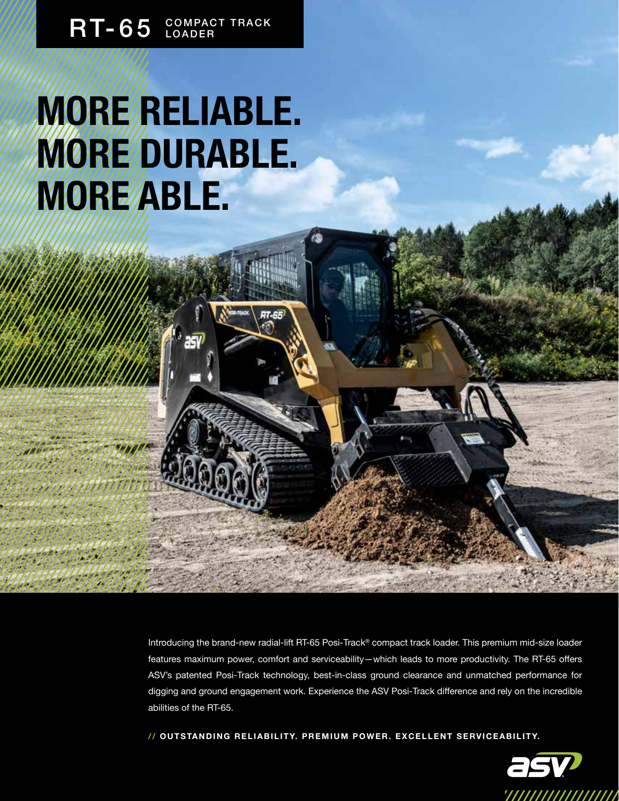## RT-65 COMPACT TRACK

# **MORE RELIABLE. MORE/DURABLE. MORE ABLE.**

Introducing the brand-new radial-lift RT-65 Posi-Track® compact track loader. This premium mid-size loader features maximum power, comfort and serviceability—which leads to more productivity. The RT-65 offers ASV's patented Posi-Track technology, best-in-class ground clearance and unmatched performance for digging and ground engagement work. Experience the ASV Posi-Track difference and rely on the incredible abilities of the RT-65.

**// O U T S TA N D I N G R E L I A B I L I T Y. P R E M I U M P O W E R . E X C E L L E N T S E RV I C E A B I L I T Y.**